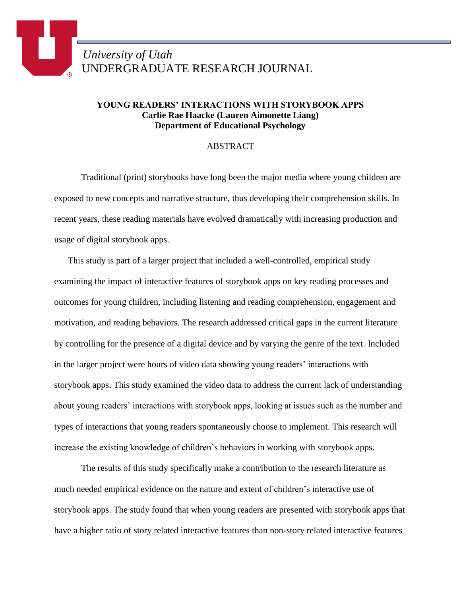## **YOUNG READERS' INTERACTIONS WITH STORYBOOK APPS Carlie Rae Haacke (Lauren Aimonette Liang) Department of Educational Psychology**

## ABSTRACT

Traditional (print) storybooks have long been the major media where young children are exposed to new concepts and narrative structure, thus developing their comprehension skills. In recent years, these reading materials have evolved dramatically with increasing production and usage of digital storybook apps.

This study is part of a larger project that included a well-controlled, empirical study examining the impact of interactive features of storybook apps on key reading processes and outcomes for young children, including listening and reading comprehension, engagement and motivation, and reading behaviors. The research addressed critical gaps in the current literature by controlling for the presence of a digital device and by varying the genre of the text. Included in the larger project were hours of video data showing young readers' interactions with storybook apps. This study examined the video data to address the current lack of understanding about young readers' interactions with storybook apps, looking at issues such as the number and types of interactions that young readers spontaneously choose to implement. This research will increase the existing knowledge of children's behaviors in working with storybook apps.

The results of this study specifically make a contribution to the research literature as much needed empirical evidence on the nature and extent of children's interactive use of storybook apps. The study found that when young readers are presented with storybook apps that have a higher ratio of story related interactive features than non-story related interactive features